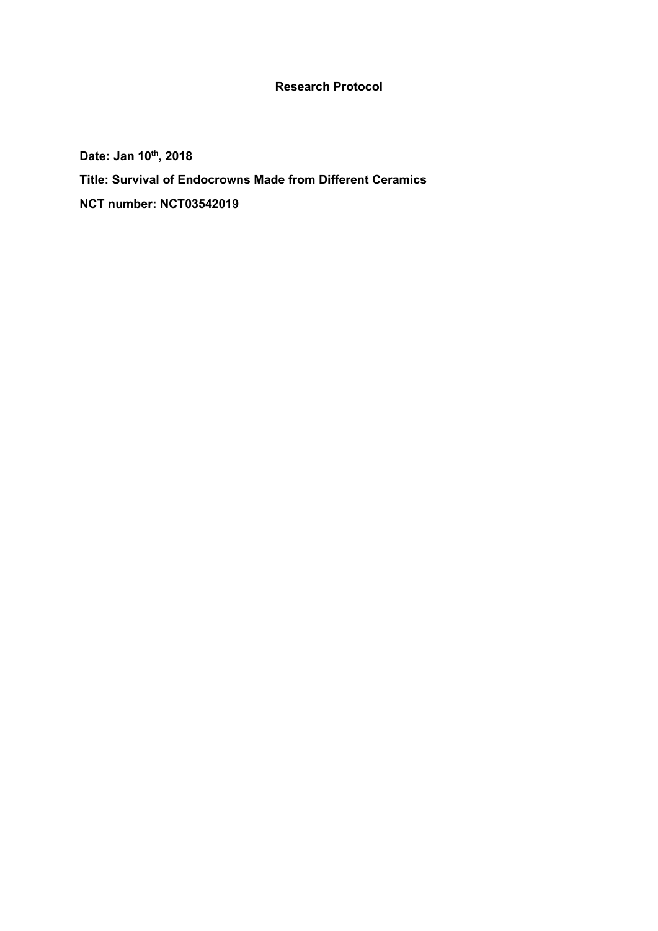## **Research Protocol**

**Date: Jan 10th, 2018 Title: Survival of Endocrowns Made from Different Ceramics NCT number: NCT03542019**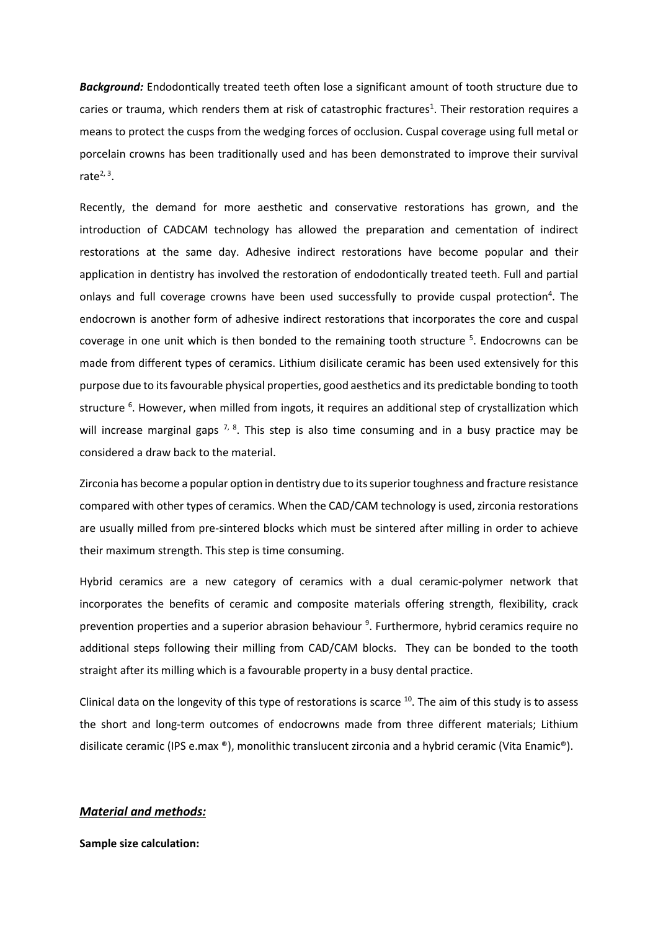*Background:* Endodontically treated teeth often lose a significant amount of tooth structure due to caries or trauma, which renders them at risk of catastrophic fractures<sup>1</sup>. Their restoration requires a means to protect the cusps from the wedging forces of occlusion. Cuspal coverage using full metal or porcelain crowns has been traditionally used and has been demonstrated to improve their survival rate $2, 3$ .

Recently, the demand for more aesthetic and conservative restorations has grown, and the introduction of CADCAM technology has allowed the preparation and cementation of indirect restorations at the same day. Adhesive indirect restorations have become popular and their application in dentistry has involved the restoration of endodontically treated teeth. Full and partial onlays and full coverage crowns have been used successfully to provide cuspal protection<sup>4</sup>. The endocrown is another form of adhesive indirect restorations that incorporates the core and cuspal coverage in one unit which is then bonded to the remaining tooth structure <sup>5</sup>. Endocrowns can be made from different types of ceramics. Lithium disilicate ceramic has been used extensively for this purpose due to its favourable physical properties, good aesthetics and its predictable bonding to tooth structure <sup>6</sup>. However, when milled from ingots, it requires an additional step of crystallization which will increase marginal gaps  $^{7, 8}$ . This step is also time consuming and in a busy practice may be considered a draw back to the material.

Zirconia has become a popular option in dentistry due to its superior toughness and fracture resistance compared with other types of ceramics. When the CAD/CAM technology is used, zirconia restorations are usually milled from pre-sintered blocks which must be sintered after milling in order to achieve their maximum strength. This step is time consuming.

Hybrid ceramics are a new category of ceramics with a dual ceramic-polymer network that incorporates the benefits of ceramic and composite materials offering strength, flexibility, crack prevention properties and a superior abrasion behaviour <sup>9</sup>. Furthermore, hybrid ceramics require no additional steps following their milling from CAD/CAM blocks. They can be bonded to the tooth straight after its milling which is a favourable property in a busy dental practice.

Clinical data on the longevity of this type of restorations is scarce  $^{10}$ . The aim of this study is to assess the short and long-term outcomes of endocrowns made from three different materials; Lithium disilicate ceramic (IPS e.max ®), monolithic translucent zirconia and a hybrid ceramic (Vita Enamic®).

#### *Material and methods:*

**Sample size calculation:**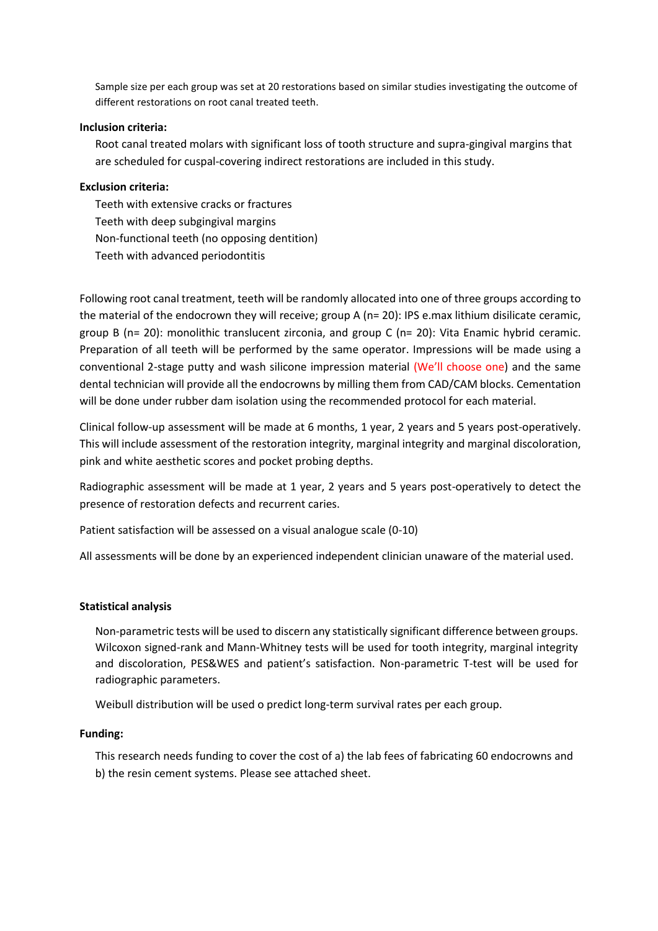Sample size per each group was set at 20 restorations based on similar studies investigating the outcome of different restorations on root canal treated teeth.

#### **Inclusion criteria:**

Root canal treated molars with significant loss of tooth structure and supra-gingival margins that are scheduled for cuspal-covering indirect restorations are included in this study.

### **Exclusion criteria:**

Teeth with extensive cracks or fractures Teeth with deep subgingival margins Non-functional teeth (no opposing dentition) Teeth with advanced periodontitis

Following root canal treatment, teeth will be randomly allocated into one of three groups according to the material of the endocrown they will receive; group A (n= 20): IPS e.max lithium disilicate ceramic, group B (n= 20): monolithic translucent zirconia, and group C (n= 20): Vita Enamic hybrid ceramic. Preparation of all teeth will be performed by the same operator. Impressions will be made using a conventional 2-stage putty and wash silicone impression material (We'll choose one) and the same dental technician will provide all the endocrowns by milling them from CAD/CAM blocks. Cementation will be done under rubber dam isolation using the recommended protocol for each material.

Clinical follow-up assessment will be made at 6 months, 1 year, 2 years and 5 years post-operatively. This will include assessment of the restoration integrity, marginal integrity and marginal discoloration, pink and white aesthetic scores and pocket probing depths.

Radiographic assessment will be made at 1 year, 2 years and 5 years post-operatively to detect the presence of restoration defects and recurrent caries.

Patient satisfaction will be assessed on a visual analogue scale (0-10)

All assessments will be done by an experienced independent clinician unaware of the material used.

#### **Statistical analysis**

Non-parametric tests will be used to discern any statistically significant difference between groups. Wilcoxon signed-rank and Mann-Whitney tests will be used for tooth integrity, marginal integrity and discoloration, PES&WES and patient's satisfaction. Non-parametric T-test will be used for radiographic parameters.

Weibull distribution will be used o predict long-term survival rates per each group.

#### **Funding:**

This research needs funding to cover the cost of a) the lab fees of fabricating 60 endocrowns and b) the resin cement systems. Please see attached sheet.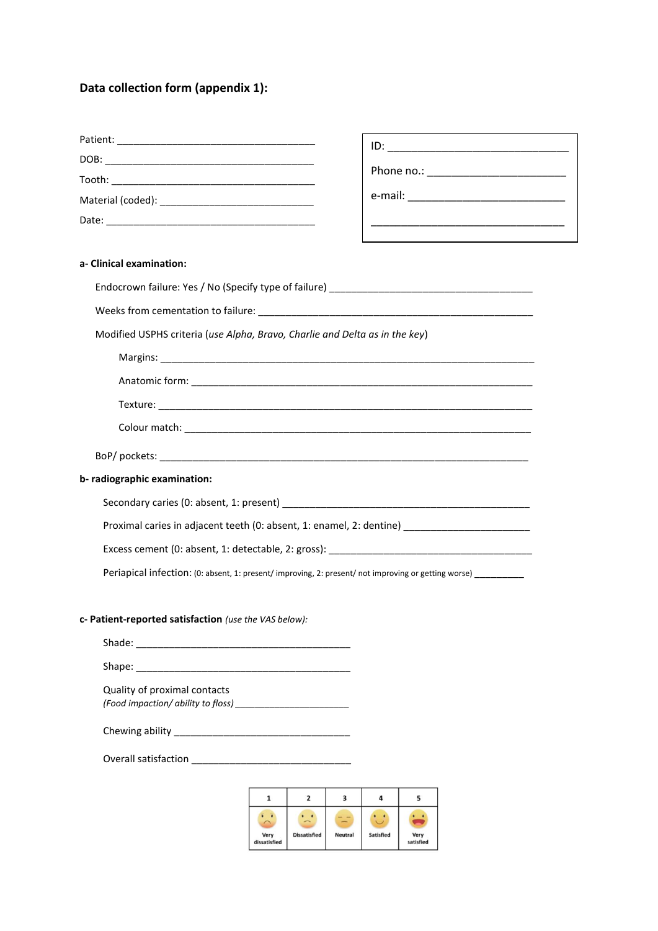# **Data collection form (appendix 1):**

|                                                                                                               | <u> 1989 - Johann Stein, mars an deutscher Stein und der Stein und der Stein und der Stein und der Stein und der</u> |
|---------------------------------------------------------------------------------------------------------------|----------------------------------------------------------------------------------------------------------------------|
|                                                                                                               | the contract of the contract of the contract of the contract of the contract of                                      |
| a- Clinical examination:                                                                                      |                                                                                                                      |
|                                                                                                               |                                                                                                                      |
|                                                                                                               |                                                                                                                      |
| Modified USPHS criteria (use Alpha, Bravo, Charlie and Delta as in the key)                                   |                                                                                                                      |
|                                                                                                               |                                                                                                                      |
|                                                                                                               |                                                                                                                      |
|                                                                                                               |                                                                                                                      |
|                                                                                                               |                                                                                                                      |
|                                                                                                               |                                                                                                                      |
| b- radiographic examination:                                                                                  |                                                                                                                      |
|                                                                                                               |                                                                                                                      |
| Proximal caries in adjacent teeth (0: absent, 1: enamel, 2: dentine) _______________________________          |                                                                                                                      |
|                                                                                                               |                                                                                                                      |
| Periapical infection: (0: absent, 1: present/ improving, 2: present/ not improving or getting worse) ________ |                                                                                                                      |
| c- Patient-reported satisfaction (use the VAS below):                                                         |                                                                                                                      |
|                                                                                                               |                                                                                                                      |
| Shape:                                                                                                        |                                                                                                                      |
| Quality of proximal contacts                                                                                  |                                                                                                                      |
|                                                                                                               |                                                                                                                      |

 $\begin{array}{ccccccccccccc} \multicolumn{2}{c|}{\textbf{1} & \textbf{1} & \textbf{1} & \textbf{1} & \textbf{1} & \textbf{1} & \textbf{1} & \textbf{1} & \textbf{1} & \textbf{1} & \textbf{1} & \textbf{1} & \textbf{1} & \textbf{1} & \textbf{1} & \textbf{1} & \textbf{1} & \textbf{1} & \textbf{1} & \textbf{1} & \textbf{1} & \textbf{1} & \textbf{1} & \textbf{1} & \textbf{1} & \textbf{1} & \textbf{1} & \textbf{1} & \textbf{$ 

Overall satisfaction \_\_\_\_\_\_\_\_\_\_\_\_\_\_\_\_\_\_\_\_\_\_\_\_\_\_\_\_\_

|                      | г                   |                |                  |                   |
|----------------------|---------------------|----------------|------------------|-------------------|
| Very<br>dissatisfied | <b>Dissatisfied</b> | <b>Neutral</b> | <b>Satisfied</b> | Very<br>satisfied |